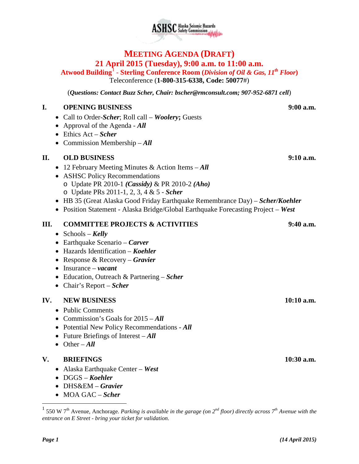# **MEETING AGENDA (DRAFT) 21 April 2015 (Tuesday), 9:00 a.m. to 11:00 a.m.**

**Atwood Building**[1](#page-0-0) - **Sterling Conference Room (***Division of Oil & Gas, 11th Floor***)** Teleconference (**1-800-315-6338, Code: 50077**#)

(*Questions: Contact Buzz Scher, Chair: [bscher@rmconsult.com;](mailto:bscher@rmconsult.com) 907-952-6871 cell*)

#### **I. OPENING BUSINESS 9:00 a.m.**

- Call to Order-*Scher*; Roll call *Woolery***;** Guests
- Approval of the Agenda *All*
- Ethics Act *Scher*
- Commission Membership *All*

# **II. OLD BUSINESS 9:10 a.m.**

- 12 February Meeting Minutes & Action Items *All*
- ASHSC Policy Recommendations o Update PR 2010-1 *(Cassidy)* & PR 2010-2 *(Aho)* o Update PRs 2011-1, 2, 3, 4 & 5 - *Scher*
- HB 35 (Great Alaska Good Friday Earthquake Remembrance Day) *Scher/Koehler*
- Position Statement Alaska Bridge/Global Earthquake Forecasting Project *West*

# **III. COMMITTEE PROJECTS & ACTIVITIES 9:40 a.m.**

- Schools *Kelly*
- Earthquake Scenario *Carver*
- Hazards Identification *Koehler*
- Response & Recovery *Gravier*
- Insurance *vacant*
- Education, Outreach & Partnering *Scher*
- Chair's Report *Scher*

### **IV. NEW BUSINESS 10:10 a.m.**

- Public Comments
- Commission's Goals for 2015 *All*
- Potential New Policy Recommendations *All*
- Future Briefings of Interest *All*
- Other *All*

### **V. BRIEFINGS 10:30 a.m.**

- Alaska Earthquake Center *West*
- DGGS *Koehler*
- DHS&EM *Gravier*
- MOA GAC *Scher*

<span id="page-0-0"></span> <sup>1</sup> 550 W 7th Avenue, Anchorage. *Parking is available in the garage (on 2nd floor) directly across 7th Avenue with the entrance on E Street - bring your ticket for validation.*